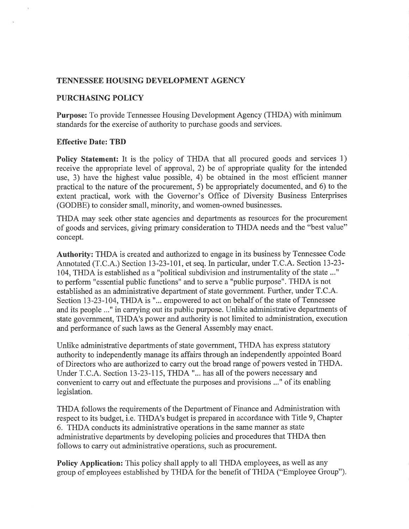#### TENNESSEE HOUSING DEVELOPMENT AGENCY

#### PURCHASING POLICY

Purpose: To provide Tennessee Housing Development Agency (THDA) with minimum standards for the exercise of authority to purchase goods and services.

#### Effective Date: TBD

Policy Statement: It is the policy of THDA that all procured goods and services 1) receive the appropriate level of approval,2) be of appropriate quality for the intended use, 3) have the highest value possible, 4) be obtained in the most efficient manner practical to the nature of the procurement, 5) be appropriately documented, and 6) to the extent practical, work with the Governor's Office of Diversity Business Enterprises (GODBE) to consider small, minority, and women-owned businesses.

THDA may seek other state agencies and departments as resources for the procurement of goods and services, giving primary consideration to THDA needs and the "best value" concept.

Authority: THDA is created and authorized to engage in its business by Tennessee Code Annotated (T.C.A.) Section I3-23-10I, et seq. In particular, under T.C.A. Section 13-23- 104, THDA is established as a "political subdivision and instrumentality of the state ..." to perform "essential public functions" and to serve a "public purpose". THDA is not established as an administrative department of state government. Further, under T.C.A. Section 13-23-104, THDA is "... empowered to act on behalf of the state of Tennessee and its people ..." in carrying out its public purpose. Unlike administrative departments of state government, THDA's power and authority is not limited to administration, execution and performance of such laws as the General Assembly may enact.

Unlike administrative departments of state government, THDA has express statutory authority to independently manage its affairs through an independently appointed Board of Directors who are authorized to carry out the broad range of powers vested in THDA. Under T.C.A. Section 13-23-115, THDA "... has all of the powers necessary and convenient to carry out and effectuate the purposes and provisions ..." of its enabling legislation.

THDA follows the requirements of the Department of Finance and Administration with respect to its budget, i.e. THDA's budget is prepared in accordance with Title 9, Chapter 6. THDA conducts its administrative operations in the same manner as state administrative departments by developing policies and procedures that THDA then follows to carry out administrative operations, such as procurement.

Policy Application: This policy shall apply to all THDA employees, as well as any group of employees established by THDA for the benefit of THDA ("Employee Group").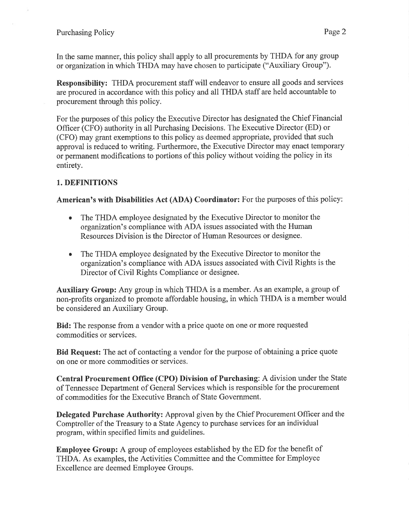In the same manner, this policy shall apply to all procurements by THDA for any group or organization in which THDA may have chosen to participate ("Auxiliary Group").

Responsibilify: THDA procurement staff will endeavor to ensure all goods and services are procured in accordance with this policy and all THDA staff are held accountable to procurement through this policy.

For the purposes of this policy the Executive Director has designated the Chief Financial Officer (CFO) authority in all Purchasing Decisions. The Executive Director (ED) or (CFO) may grant exemptions to this policy as deemed appropriate, provided that such approval is reduced to writing. Furthermore, the Executive Director may enact temporary or permanent modifications to portions of this policy without voiding the policy in its entirety.

# 1. DEFINITIONS

American's with Disabilities Act (ADA) Coordinator: For the purposes of this policy:

- The THDA employee designated by the Executive Director to monitor the organization's compliance with ADA issues associated with the Human Resources Division is the Director of Human Resources or designee. o
- The THDA employee designated by the Executive Director to monitor the organization's compliance with ADA issues associated with Civil Rights is the Director of Civil Rights Compliance or designee.

Auxiliary Group: Any group in which THDA is a member. As an example, a group of non-profits organized to promote affordable housing, in which THDA is a member would be considered an Auxiliary Group.

Bid: The response from a vendor with a price quote on one or more requested commodities or services.

Bid Request: The act of contacting a vendor for the purpose of obtaining a price quote on one or more commodities or services.

Central Procurement Office (CPO) Division of Purchasing: A division under the State of Tennessee Department of General Services which is responsible for the procurement of commodities for the Executive Branch of State Government.

Delegated Purchase Authority: Approval given by the Chief Procurement Officer and the Comptroller of the Treasury to a State Agency to purchase services for an individual program, within specified limits and guidelines.

Employee Group: A group of employees established by the ED for the benefit of THDA. As examples, the Activities Committee and the Committee for Employee Excellence are deemed Employee Groups.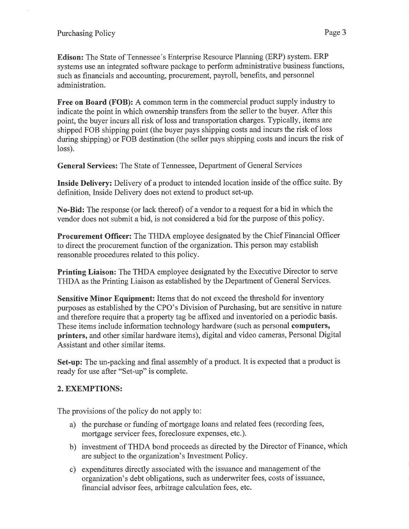#### Purchasing Policy Page 3

Edison: The State of Tennessee's Enterprise Resource Planning (ERP) system. ERP systems use an integrated software package to perform administrative business functions, such as financials and accounting, procurement, payroll, benefits, and personnel administration.

Free on Board (FOB): A common term in the commercial product supply industry to indicate the point in which ownership transfers from the seller to the buyer. After this point, the buyer incurs all risk of loss and transportation charges. Typically, items are shipped FOB shipping point (the buyer pays shipping costs and incurs the risk of loss during shipping) or FOB destination (the seller pays shipping costs and incurs the risk of loss).

General Services: The State of Tennessee, Department of General Services

Inside Delivery: Delivery of a product to intended location inside of the office suite. By definition, Inside Delivery does not extend to product set-up.

No-Bid: The response (or lack thereof) of a vendor to a request for a bid in which the vendor does not submit a bid, is not considered a bid for the purpose of this policy.

Procurement Offïcer: The THDA employee designated by the Chief Financial Officer to direct the procurement function of the organization. This person may establish reasonable procedures related to this policy.

Printing Liaison: The THDA employee designated by the Executive Director to serve THDA as the Printing Liaison as established by the Department of General Services.

Sensitive Minor Equipment: Items that do not exceed the threshold for inventory purposes as established by the CPO's Division of Purchasing, but are sensitive in nature and therefore require that a property tag be affixed and inventoried on a periodic basis. These items include information technology hardware (such as personal computers, printers, and other similar hardware items), digital and video cameras, Personal Digital Assistant and other similar items.

Set-up: The un-packing and final assembly of a product. It is expected that a product is ready for use after "Set-up" is complete.

## 2. EXEMPTIONS:

The provisions of the policy do not apply to:

- a) the purchase or funding of mortgage loans and related fees (recording fees, mortgage servicer fees, foreclosure expenses, etc.).
- b) investment of THDA bond proceeds as directed by the Director of Finance, which are subject to the organization's Investment Policy.
- c) expenditures directly associated with the issuance and management of the organization's debt obligations, such as underwriter fees, costs of issuance, financial advisor fees, arbitrage calculation fees, etc.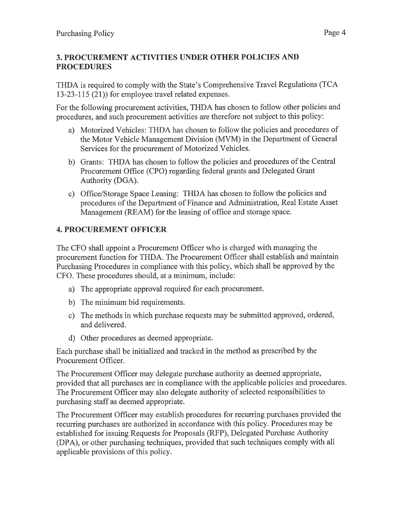## 3. PROCUREMENT ACTIVITIES UNDER OTHER POLICIES AND PROCEDURES

THDA is required to comply with the State's Comprehensive Travel Regulations (TCA 13-23-115 (21)) for employee travel related expenses.

For the following procurement activities, THDA has chosen to follow other policies and procedures, and such procurement activities are therefore not subject to this policy:

- a) Motorized Vehicles: THDA has chosen to follow the policies and procedures of the Motor Vehicle Management Division (MVM) in the Department of General Services for the procurement of Motorized Vehicles.
- b) Grants: THDA has chosen to follow the policies and procedures of the Central Procurement Office (CPO) regarding federal grants and Delegated Grant Authority (DGA).
- c) Office/Storage Space Leasing: THDA has chosen to follow the policies and procedures of the Department of Finance and Administration, Real Estate Asset Management (REAM) for the leasing of office and storage space.

## 4. PROCUREMENT OFFICER

The CFO shall appoint a Procurement Officer who is charged with managing the procurement function for THDA. The Procurement Officer shall establish and maintain Purchasing Procedures in compliance with this policy, which shall be approved by the CFO. These procedures should, at a minimum, include:

- a) The appropriate approval required for each procurement.
- b) The minimum bid requirements.
- c) The methods in which purchase requests may be submitted approved, ordered, and delivered.
- d) Other procedures as deemed appropriate.

Each purchase shall be initialized and tracked in the method as prescribed by the Procurement Officer.

The Procurement Offrcer may delegate purchase authority as deemed appropriate, provided that all purchases are in compliance with the applicable policies and procedures. The Procurement Officer may also delegate authority of selected responsibilities to purchasing staff as deemed appropriate.

The Procurement Officer may establish procedures for recurring purchases provided the recurring purchases are authorized in accordance with this policy. Procedures may be established for issuing Requests for Proposals (RFP), Delegated Purchase Authority (DPA), or other purchasing techniques, provided that such techniques comply with all applicable provisions of this policy.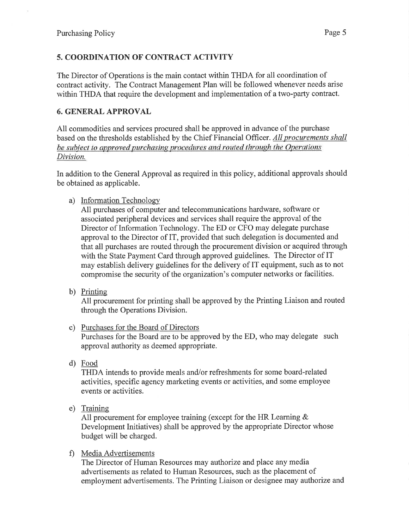# 5. COORDINATION OF CONTRACT ACTIVITY

The Director of Operations is the main contact within THDA for all coordination of contract activity. The Contract Management Plan will be followed whenever needs arise within THDA that require the development and implementation of a two-party contract.

## 6. GENERAL APPROVAL

All commodities and services procured shall be approved in advance of the purchase based on the thresholds established by the Chief Financial Officer. All procurements shall be subject to approved purchasing procedures and routed through the Operations Division.

In addition to the General Approval as required in this policy, additional approvals should be obtained as applicable.

a) Information Technology

All purchases of computer and telecommunications hardware, software or associated peripheral devices and services shall require the approval of the Director of Information Technology. The ED or CFO may delegate purchase approval to the Director of IT, provided that such delegation is documented and that all purchases are routed through the procurement division or acquired through with the State Payment Card through approved guidelines. The Director of IT may establish delivery guidelines for the delivery of IT equipment, such as to not compromise the security of the organization's computer networks or facilities.

b) Printing

All procurement for printing shall be approved by the Printing Liaison and routed through the Operations Division.

- c) Purchases for the Board of Directors Purchases for the Board are to be approved by the ED, who may delegate such approval authority as deemed appropriate.
- d) Food

THDA intends to provide meals and/or refreshments for some board-related activities, specific agency marketing events or activities, and some employee events or activities.

e) Trainine

All procurement for employee training (except for the HR Learning  $\&$ Development Initiatives) shall be approved by the appropriate Director whose budget will be charged.

f) Media Advertisements

The Director of Human Resources may authorize and place any media advertisements as related to Human Resources, such as the placement of employment advertisements. The Printing Liaison or designee may authorize and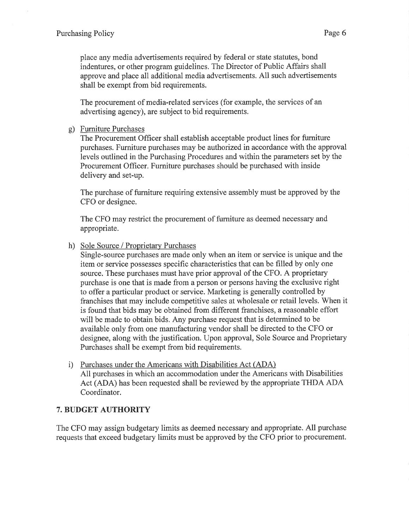place any media advertisements required by federal or state statutes, bond indentures, or other program guidelines. The Director of Public Affairs shall approve and place all additional media advertisements. All such advertisements shall be exempt from bid requirements.

The procurement of media-related services (for example, the services of an advertising agency), are subject to bid requirements.

#### g) Furniture Purchases

The Procurement Officer shall establish acceptable product lines for furniture purchases. Furniture purchases may be authorized in accordance with the approval levels outlined in the Purchasing Procedures and within the parameters set by the Procurement Officer. Furniture purchases should be purchased with inside delivery and set-up.

The purchase of furniture requiring extensive assembly must be approved by the CFO or designee.

The CFO may restrict the procurement of furniture as deemed necessary and appropriate.

#### h) Sole Source / Proprietary Purchases

Single-source purchases are made only when an item or service is unique and the item or service possesses specific characteristics that can be filled by only one source. These purchases must have prior approval of the CFO. A proprietary purchase is one that is made from a person or persons having the exclusive right to offer a particular product or service. Marketing is generally controlled by franchises that may include competitive sales at wholesale or retail levels. When it is found that bids may be obtained from different franchises, a reasonable effort will be made to obtain bids. Any purchase request that is determined to be available only from one manufacturing vendor shall be directed to the CFO or designee, along with the justification. Upon approval, Sole Source and Proprietary Purchases shall be exempt from bid requirements.

i) Purchases under the Americans with Disabilities Act (ADA) All purchases in which an accommodation under the Americans with Disabilities Act (ADA) has been requested shall be reviewed by the appropriate THDA ADA Coordinator.

# 7. BUDGET AUTHORITY

The CFO may assign budgetary limits as deemed necessary and appropriate. All purchase requests that exceed budgetary limits must be approved by the CFO prior to procurement.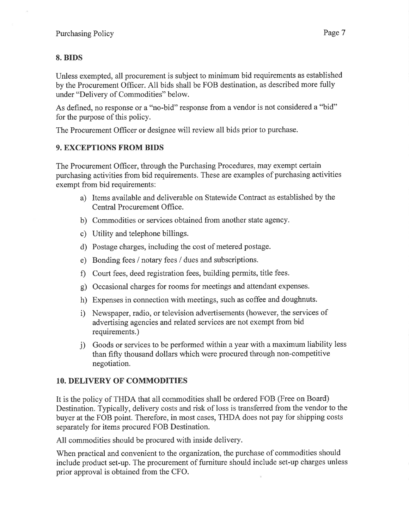## 8. BIDS

Unless exempted, all procurement is subject to minimum bid requirements as established by the Procurement Offrcer. All bids shall be FOB destination, as described more fully under "Delivery of Commodities" below.

As defined, no response or a "no-bid" response from a vendor is not considered a "bid" for the purpose of this policy.

The Procurement Officer or designee will review all bids prior to purchase.

## 9. EXCEPTIONS FROM BIDS

The Procurement Officer, through the Purchasing Procedures, may exempt certain purchasing activities from bid requirements. These are examples of purchasing activities exempt from bid requirements:

- a) Items available and deliverable on Statewide Contract as established by the Central Procurement Office.
- b) Commodities or services obtained from another state agency.
- c) Utility and telephone billings.
- d) Postage charges, including the cost of metered postage.
- e) Bonding fees / notary fees / dues and subscriptions.
- f) Court fees, deed registration fees, building permits, title fees.
- g) Occasional charges for rooms for meetings and attendant expenses.
- h) Expenses in connection with meetings, such as coffee and doughnuts.
- i) Newspaper, radio, or television advertisements (however, the services of advertising agencies and related services are not exempt from bid requirements.)
- j) Goods or services to be performed within a year with a maximum liability less than fifty thousand dollars which \r/ere procured through non-competitive negotiation.

## 10. DELIVERY OF COMMODITIES

It is the policy of THDA that all commodities shall be ordered FOB (Free on Board) Destination. Typically, delivery costs and risk of loss is transferred from the vendor to the buyer at the FOB point. Therefore, in most cases, THDA does not pay for shipping costs separately for items procured FOB Destination.

All commodities should be procured with inside delivery.

When practical and convenient to the organization, the purchase of commodities should include product set-up. The procurement of furniture should include set-up charges unless prior approval is obtained from the CFO.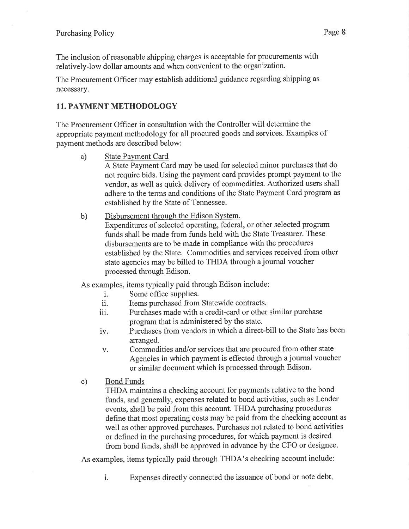The inclusion of reasonable shipping charges is acceptable for procurements with relatively-low dollar amounts and when convenient to the organization.

The Procurement Officer may establish additional guidance regarding shipping as necessary.

# 11. PAYMENT METHODOLOGY

The Procurement Officer in consultation with the Controller will determine the appropriate payment methodology for all procured goods and services. Examples of payment methods are described below:

a) State Payment Card

A State Payment Card may be used for selected minor purchases that do not require bids. Using the payment card provides prompt payment to the vendor, as well as quick delivery of commodities. Authorized users shall adhere to the terms and conditions of the State Payment Card program as established by the State of Tennessee.

b) Disbursement through the Edison System. Expenditures of selected operating, federal, or other selected program funds shall be made from funds held with the State Treasurer. These disbursements are to be made in compliance with the procedures established by the State. Commodities and services received from other state agencies may be billed to THDA through a journal voucher processed through Edison.

As examples, items typically paid through Edison include:

- i. Some office supplies.<br>ii. Items purchased from
- ii. Items purchased from Statewide contracts.<br>iii. Purchases made with a credit-card or other
- Purchases made with a credit-card or other similar purchase program that is administered by the state.
- iv. Purchases from vendors in which a direct-bill to the State has been arranged.
- v. Commodities and/or services that arc procured from other state Agencies in which payment is effected through a joumal voucher or similar document which is processed through Edison.
- c) Bond Funds

THDA maintains a checking account for payments relative to the bond funds, and generally, expenses related to bond activities, such as Lender events, shall be paid from this account. THDA purchasing procedures define that most operating costs may be paid from the checking account as well as other approved purchases. Purchases not related to bond activities or defined in the purchasing procedures, for which payment is desired from bond funds, shall be approved in advance by the CFO or designee.

As examples, items typically paid through THDA's checking account include:

i. Expenses directly connected the issuance of bond or note debt.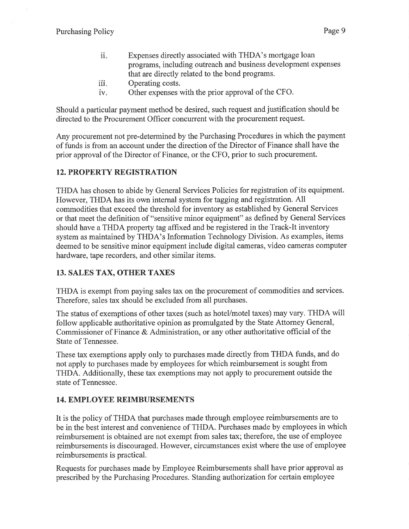- ii. Expenses directly associated with THDA's mortgage loan programs, including outreach and business development expenses that are directly related to the bond programs.
- 111 Operating costs.
- iv. Other expenses with the prior approval of the CFO.

Should a particular payment method be desired, such request and justification should be directed to the Procurement Officer concurrent with the procurement request.

Any procurement not pre-determined by the Purchasing Procedures in which the payment of funds is from an account under the direction of the Director of Finance shall have the prior approval of the Director of Finance, or the CFO, prior to such procurement.

## 12. PROPERTY REGISTRATION

THDA has chosen to abide by General Services Policies for registration of its equipment. However, THDA has its own internal system for tagging and registration. All commodities that exceed the threshold for inventory as established by General Services or that meet the definition of "sensitive minor equipment" as defined by General Services should have a THDA property tag affixed and be registered in the Track-It inventory system as maintained by THDA's Information Technology Division. As examples, items deemed to be sensitive minor equipment include digital cameras, video cameras computer hardware, tape recorders, and other similar items.

# 13. SALES TAX, OTHER TAXES

THDA is exempt from paying sales tax on the procurement of commodities and services. Therefore, sales tax should be excluded from all purchases.

The status of exemptions of other taxes (such as hotel/motel taxes) may vary. THDA will follow applicable authoritative opinion as promulgated by the State Attomey General, Commissioner of Finance & Administration, or any other authoritative official of the State of Tennessee.

These tax exemptions apply only to purchases made directly from THDA funds, and do not apply to purchases made by employees for which reimbursement is sought from THDA. Additionally, these tax exemptions may not apply to procurement outside the state of Tennessee.

## 14. EMPLOYEE REIMBURSEMENTS

It is the policy of THDA that purchases made through employee reimbursements are to be in the best interest and convenience of THDA. Purchases made by employees in which reimbursement is obtained are not exempt from sales tax; therefore, the use of employee reimbursements is discouraged. However, circumstances exist where the use of employee reimbursements is practical.

Requests for purchases made by Employee Reimbursements shall have prior approval as prescribed by the Purchasing Procedures. Standing authorization for certain employee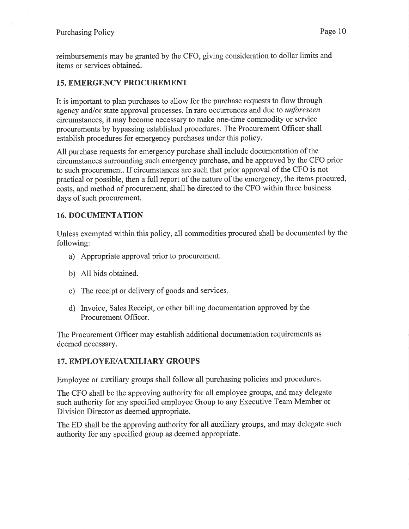reimbursements may be granted by the CFO, giving consideration to dollar limits and items or services obtained.

## 15. EMERGENCY PROCUREMENT

It is important to plan purchases to allow for the purchase requests to flow through agency and/or state approval processes. In rare occurrences and due to unforeseen circumstances, it may become necessary to make one-time commodity or service procurements by bypassing established procedures. The Procurement Officer shall establish procedures for emergency purchases under this policy.

All purchase requests for emergency purchase shall include documentation of the circumstances surrounding such emergency purchase, and be approved by the CFO prior to such procurement. If circumstances are such that prior approval of the CFO is not practical or possible, then a full report of the nature of the emergency, the items procured, costs, and method of procurement, shall be directed to the CFO within three business days of such procurement.

## 16. DOCUMENTATION

Unless exempted within this policy, all commodities procured shall be documented by the following:

- a) Appropriate approval prior to procurement.
- b) All bids obtained.
- c) The receipt or delivery of goods and services
- d) Invoice, Sales Receipt, or other billing documentation approved by the Procurement Officer.

The Procurement Officer may establish additional documentation requirements as deemed necessary.

## 17. EMPLOYEE/AUXILIARY GROUPS

Employee or auxiliary groups shall follow all purchasing policies and procedures.

The CFO shall be the approving authority for all employee groups, and may delegate such authority for any specified employee Group to any Executive Team Member or Division Director as deemed appropriate.

The ED shall be the approving authority for all auxiliary groups, and may delegate such authority for any specified group as deemed appropriate.